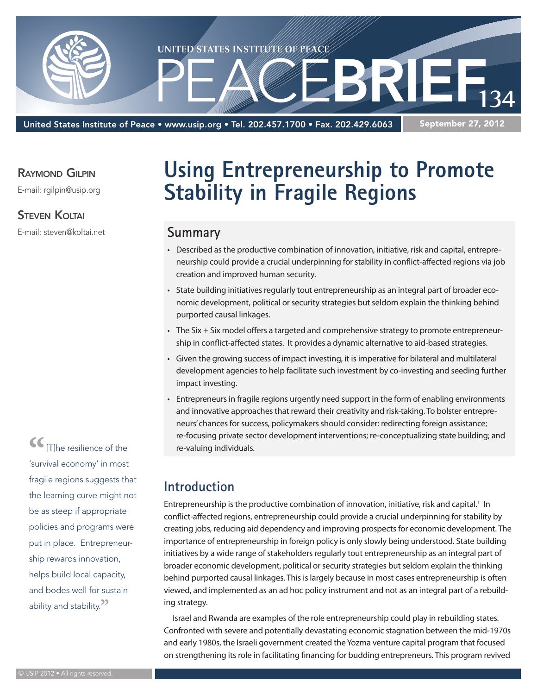

United States Institute of Peace • www.usip.org • Tel. 202.457.1700 • Fax. 202.429.6063

September 27, 2012

#### RAYMOND GILPIN

E-mail: rgilpin@usip.org

#### Steven Koltai

E-mail: steven@koltai.net

**Using Entrepreneurship to Promote Stability in Fragile Regions**

### **Summary**

- • Described asthe productive combination of innovation, initiative, risk and capital, entrepreneurship could provide a crucial underpinning forstability in conflict-affected regions via job creation and improved human security.
- State building initiatives regularly tout entrepreneurship as an integral part of broader economic development, political or security strategies but seldom explain the thinking behind purported causal linkages.
- The Six + Six model offers a targeted and comprehensive strategy to promote entrepreneurship in conflict-affected states. It provides a dynamic alternative to aid-based strategies.
- • Given the growing success of impact investing, it isimperative for bilateral and multilateral development agencies to help facilitate such investment by co-investing and seeding further impact investing.
- Entrepreneurs in fragile regions urgently need support in the form of enabling environments and innovative approaches that reward their creativity and risk-taking. To bolster entrepreneurs' chances for success, policymakers should consider: redirecting foreign assistance; re-focusing private sector development interventions; re-conceptualizing state building; and re-valuing individuals.

## **Introduction**

Entrepreneurship is the productive combination of innovation, initiative, risk and capital.<sup>1</sup> In conflict-affected regions, entrepreneurship could provide a crucial underpinning for stability by creating jobs, reducing aid dependency and improving prospectsfor economic development. The importance of entrepreneurship in foreign policy is only slowly being understood. State building initiatives by a wide range of stakeholders regularly tout entrepreneurship as an integral part of broader economic development, political or security strategies but seldom explain the thinking behind purported causal linkages. This is largely because in most cases entrepreneurship is often viewed, and implemented as an ad hoc policy instrument and not as an integral part of a rebuilding strategy.

Israel and Rwanda are examples of the role entrepreneurship could play in rebuilding states. Confronted with severe and potentially devastating economic stagnation between the mid-1970s and early 1980s, the Israeli government created the Yozma venture capital program that focused on strengthening itsrole in facilitating financing for budding entrepreneurs. This program revived

**"**[T]he resilience of the 'survival economy' in most fragile regions suggests that the learning curve might not be as steep if appropriate policies and programs were put in place. Entrepreneurship rewards innovation, helps build local capacity, and bodes well for sustainability and stability.**"**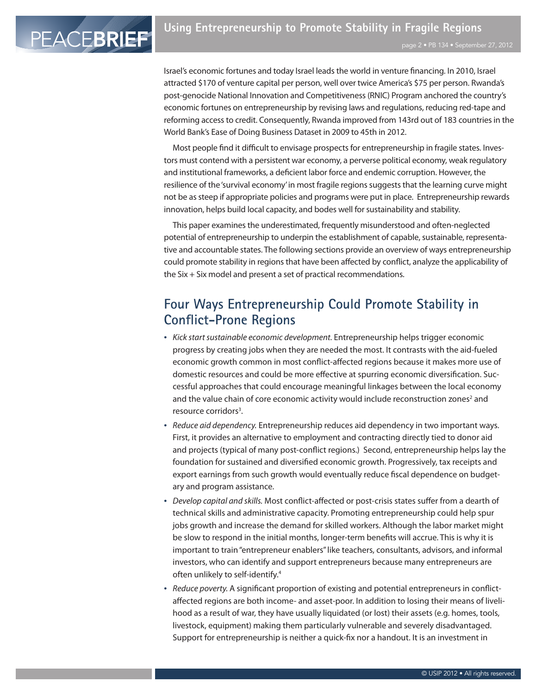Israel's economic fortunes and today Israel leads the world in venture financing. In 2010, Israel attracted \$170 of venture capital per person, well over twice America's \$75 per person. Rwanda's post-genocide National Innovation and Competitiveness(RNIC) Program anchored the country's economic fortunes on entrepreneurship by revising laws and regulations, reducing red-tape and reforming access to credit. Consequently, Rwanda improved from 143rd out of 183 countries in the World Bank's Ease of Doing Business Dataset in 2009 to 45th in 2012.

Most people find it difficult to envisage prospects for entrepreneurship in fragile states. Investors must contend with a persistent war economy, a perverse political economy, weak regulatory and institutional frameworks, a deficient labor force and endemic corruption. However, the resilience of the 'survival economy' in most fragile regions suggests that the learning curve might not be as steep if appropriate policies and programs were put in place. Entrepreneurship rewards innovation, helps build local capacity, and bodes well for sustainability and stability.

This paper examines the underestimated, frequently misunderstood and often-neglected potential of entrepreneurship to underpin the establishment of capable, sustainable, representative and accountable states. The following sections provide an overview of ways entrepreneurship could promote stability in regions that have been affected by conflict, analyze the applicability of the Six + Six model and present a set of practical recommendations.

# **Four Ways Entrepreneurship Could Promote Stability in Conflict-Prone Regions**

- Kick start sustainable economic development. Entrepreneurship helps trigger economic progress by creating jobs when they are needed the most. It contrasts with the aid-fueled economic growth common in most conflict-affected regions because it makes more use of domestic resources and could be more effective at spurring economic diversification. Successful approaches that could encourage meaningful linkages between the local economy and the value chain of core economic activity would include reconstruction zones<sup>2</sup> and resource corridors<sup>3</sup>.
- Reduce aid dependency. Entrepreneurship reduces aid dependency in two important ways. First, it provides an alternative to employment and contracting directly tied to donor aid and projects (typical of many post-conflict regions.) Second, entrepreneurship helps lay the foundation for sustained and diversified economic growth. Progressively, tax receipts and export earnings from such growth would eventually reduce fiscal dependence on budgetary and program assistance.
- Develop capital and skills. Most conflict-affected or post-crisis states suffer from a dearth of technical skills and administrative capacity. Promoting entrepreneurship could help spur jobs growth and increase the demand for skilled workers. Although the labor market might be slow to respond in the initial months, longer-term benefits will accrue. This is why it is important to train"entrepreneur enablers"like teachers, consultants, advisors, and informal investors, who can identify and support entrepreneurs because many entrepreneurs are often unlikely to self-identify.4
- • Reduce poverty. A significant proportion of existing and potential entrepreneurs in conflictaffected regions are both income- and asset-poor. In addition to losing their means of livelihood as a result of war, they have usually liquidated (or lost) their assets (e.g. homes, tools, livestock, equipment) making them particularly vulnerable and severely disadvantaged. Support for entrepreneurship is neither a quick-fix nor a handout. It is an investment in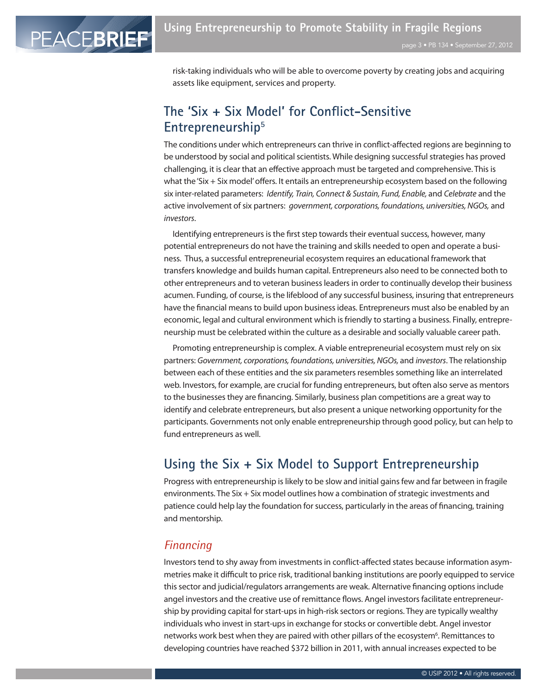PEACEBRIEF

risk-taking individuals who will be able to overcome poverty by creating jobs and acquiring assets like equipment, services and property.

# **The 'Six + Six Model' for Conflict-Sensitive Entrepreneurship5**

The conditions under which entrepreneurs can thrive in conflict-affected regions are beginning to be understood by social and political scientists. While designing successful strategies has proved challenging, it is clear that an effective approach must be targeted and comprehensive. Thisis what the'Six + Six model'offers. It entails an entrepreneurship ecosystem based on the following six inter-related parameters: Identify, Train, Connect & Sustain, Fund, Enable, and Celebrate and the active involvement of six partners: *government, corporations, foundations, universities, NGOs, and* investors.

Identifying entrepreneurs is the first step towards their eventual success, however, many potential entrepreneurs do not have the training and skills needed to open and operate a business. Thus, a successful entrepreneurial ecosystem requires an educational framework that transfers knowledge and builds human capital. Entrepreneurs also need to be connected both to other entrepreneurs and to veteran businessleadersin order to continually develop their business acumen. Funding, of course, isthe lifeblood of any successful business, insuring that entrepreneurs have the financial means to build upon business ideas. Entrepreneurs must also be enabled by an economic, legal and cultural environment which is friendly to starting a business. Finally, entrepreneurship must be celebrated within the culture as a desirable and socially valuable career path.

Promoting entrepreneurship is complex. A viable entrepreneurial ecosystem must rely on six partners: Government, corporations, foundations, universities, NGOs, and investors. The relationship between each of these entities and the six parameters resembles something like an interrelated web. Investors, for example, are crucial for funding entrepreneurs, but often also serve as mentors to the businessesthey are financing. Similarly, business plan competitions are a great way to identify and celebrate entrepreneurs, but also present a unique networking opportunity for the participants. Governments not only enable entrepreneurship through good policy, but can help to fund entrepreneurs as well.

## **Using the Six + Six Model to Support Entrepreneurship**

Progress with entrepreneurship islikely to be slow and initial gainsfew and far between in fragile environments. The Six + Six model outlines how a combination of strategic investments and patience could help lay the foundation for success, particularly in the areas of financing, training and mentorship.

#### *Financing*

Investors tend to shy away from investments in conflict-affected states because information asymmetries make it difficult to price risk, traditional banking institutions are poorly equipped to service thissector and judicial/regulators arrangements are weak. Alternative financing optionsinclude angel investors and the creative use of remittance flows. Angel investors facilitate entrepreneurship by providing capital for start-ups in high-risk sectors or regions. They are typically wealthy individuals who invest in start-ups in exchange for stocks or convertible debt. Angel investor networks work best when they are paired with other pillars of the ecosystem<sup>6</sup>. Remittances to developing countries have reached \$372 billion in 2011, with annual increases expected to be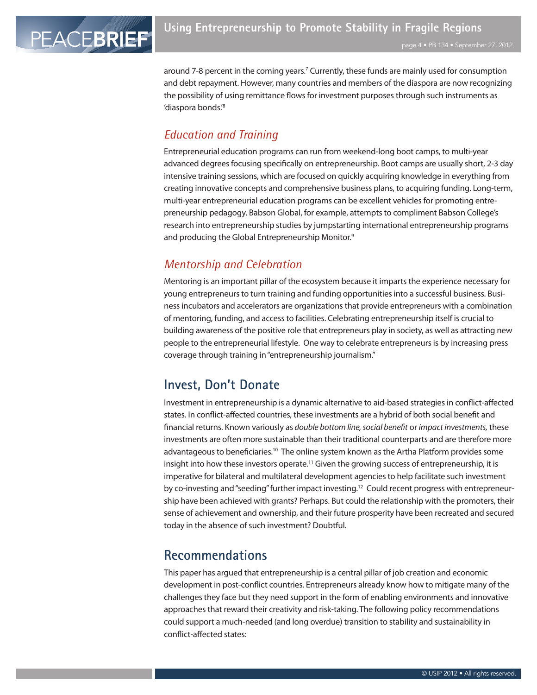around 7-8 percent in the coming years.<sup>7</sup> Currently, these funds are mainly used for consumption and debt repayment. However, many countries and members of the diaspora are now recognizing the possibility of using remittance flows for investment purposes through such instruments as 'diaspora bonds.'8

#### *Education and Training*

Entrepreneurial education programs can run from weekend-long boot camps, to multi-year advanced degrees focusing specifically on entrepreneurship. Boot camps are usually short, 2-3 day intensive training sessions, which are focused on quickly acquiring knowledge in everything from creating innovative concepts and comprehensive business plans, to acquiring funding. Long-term, multi-year entrepreneurial education programs can be excellent vehiclesfor promoting entrepreneurship pedagogy. Babson Global, for example, attempts to compliment Babson College's research into entrepreneurship studies by jumpstarting international entrepreneurship programs and producing the Global Entrepreneurship Monitor.<sup>9</sup>

## *Mentorship and Celebration*

Mentoring is an important pillar of the ecosystem because it imparts the experience necessary for young entrepreneurs to turn training and funding opportunities into a successful business. Business incubators and accelerators are organizations that provide entrepreneurs with a combination of mentoring, funding, and accessto facilities. Celebrating entrepreneurship itself is crucial to building awareness of the positive role that entrepreneurs play in society, as well as attracting new people to the entrepreneurial lifestyle. One way to celebrate entrepreneursis by increasing press coverage through training in"entrepreneurship journalism."

## **Invest, Don't Donate**

Investment in entrepreneurship is a dynamic alternative to aid-based strategiesin conflict-affected states. In conflict-affected countries, these investments are a hybrid of both social benefit and financial returns. Known variously as *double bottom line, social benefit or impact investments*, these investments are often more sustainable than their traditional counterparts and are therefore more advantageous to beneficiaries.<sup>10</sup> The online system known as the Artha Platform provides some insight into how these investors operate.<sup>11</sup> Given the growing success of entrepreneurship, it is imperative for bilateral and multilateral development agenciesto help facilitate such investment by co-investing and "seeding" further impact investing.<sup>12</sup> Could recent progress with entrepreneurship have been achieved with grants? Perhaps. But could the relationship with the promoters, their sense of achievement and ownership, and their future prosperity have been recreated and secured today in the absence of such investment? Doubtful.

## **Recommendations**

This paper has argued that entrepreneurship is a central pillar of job creation and economic development in post-conflict countries. Entrepreneurs already know how to mitigate many of the challengesthey face but they need support in the form of enabling environments and innovative approaches that reward their creativity and risk-taking. The following policy recommendations could support a much-needed (and long overdue) transition to stability and sustainability in conflict-affected states: